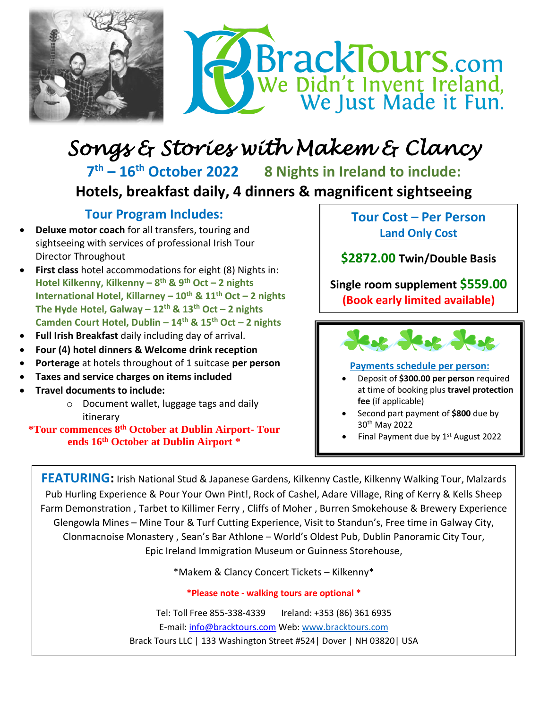

## *Songs & Stories with Makem & Clancy*

7<sup>th</sup> – 16<sup>th</sup> October 2022 **th – 16th October 2022 8 Nights in Ireland to include:** **Hotels, breakfast daily, 4 dinners & magnificent sightseeing**

## **Tour Program Includes:**

- **Deluxe motor coach** for all transfers, touring and sightseeing with services of professional Irish Tour Director Throughout
- First class hotel accommodations for eight (8) Nights in: **Hotel Kilkenny, Kilkenny – 8 th & 9th Oct – 2 nights International Hotel, Killarney – 10th & 11th Oct – 2 nights The Hyde Hotel, Galway – 12th & 13th Oct – 2 nights Camden Court Hotel, Dublin – 14th & 15th Oct – 2 nights**
- **Full Irish Breakfast** daily including day of arrival.
- **Four (4) hotel dinners & Welcome drink reception**
- **Porterage** at hotels throughout of 1 suitcase **per person**
- **Taxes and service charges on items included**
- **Travel documents to include:** 
	- o Document wallet, luggage tags and daily itinerary

**\*Tour commences 8 th October at Dublin Airport- Tour ends 16th October at Dublin Airport \***

**Tour Cost – Per Person Land Only Cost**

**\$2872.00 Twin/Double Basis**

**Single room supplement \$559.00 (Book early limited available)**

See Jese Jese

## **Payments schedule per person:**

- Deposit of **\$300.00 per person** required at time of booking plus **travel protection fee** (if applicable)
- Second part payment of **\$800** due by 30th May 2022
- Final Payment due by 1<sup>st</sup> August 2022

**FEATURING:** Irish National Stud & Japanese Gardens, Kilkenny Castle, Kilkenny Walking Tour, Malzards Pub Hurling Experience & Pour Your Own Pint!, Rock of Cashel, Adare Village, Ring of Kerry & Kells Sheep Farm Demonstration , Tarbet to Killimer Ferry , Cliffs of Moher , Burren Smokehouse & Brewery Experience Glengowla Mines – Mine Tour & Turf Cutting Experience, Visit to Standun's, Free time in Galway City, Clonmacnoise Monastery , Sean's Bar Athlone – World's Oldest Pub, Dublin Panoramic City Tour, Epic Ireland Immigration Museum or Guinness Storehouse,

\*Makem & Clancy Concert Tickets – Kilkenny\*

**\*Please note - walking tours are optional \***

Tel: Toll Free 855-338-4339 Ireland: +353 (86) 361 6935 E-mail: [info@bracktours.com](mailto:info@bracktours.com) Web[: www.bracktours.com](http://www.bracktours.com/) Brack Tours LLC | 133 Washington Street #524| Dover | NH 03820| USA